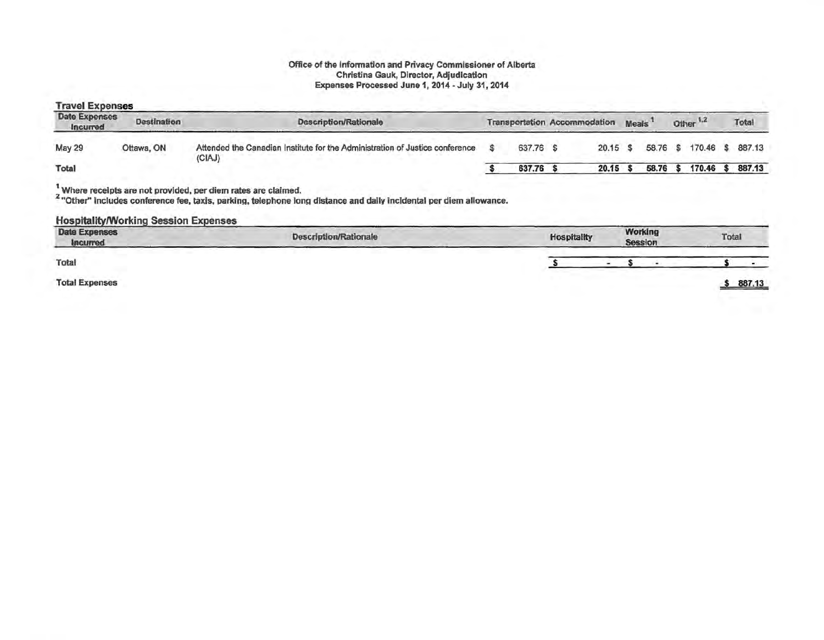#### Office of the lnfonnatlon and Privacy Commissioner of Alberta Christina Gauk, Director, Adjudication Expenses Processed June 1, 2014 - July 31, 2014

#### Travel Expenses

| Date Expenses<br>Incurred | Destination | Description/Rationale                                                                  | <b>Transportation Accommodation</b> |       | <b>Meals</b> | Other <sup>1,2</sup> | Total    |
|---------------------------|-------------|----------------------------------------------------------------------------------------|-------------------------------------|-------|--------------|----------------------|----------|
| <b>May 29</b>             | Ottawa, ON  | Attended the Canadian Institute for the Administration of Justice conference<br>(CIAJ) | 637.76 \$                           | 20.15 | 58.76 \$     | 170.46               | \$887.13 |
| Total                     |             |                                                                                        | 637.76                              | 20.15 | 58.76        | 170.46               | 887.13   |

<sup>1</sup> Where receipts are not provided, per diem rates are claimed.<br><sup>2</sup> "Other" includes conference fee, taxis, parking, telephone long distance and daily incidental per diem allowance.

#### Hospitality/Working Session Expenses

| <b>Date Expenses</b><br><b>Incurred</b> | <b>Description/Rationale</b> | Hospitality | Working<br><b>Session</b> | Total  |
|-----------------------------------------|------------------------------|-------------|---------------------------|--------|
| Total                                   |                              |             |                           |        |
| <b>Total Expenses</b>                   |                              |             |                           | 887.13 |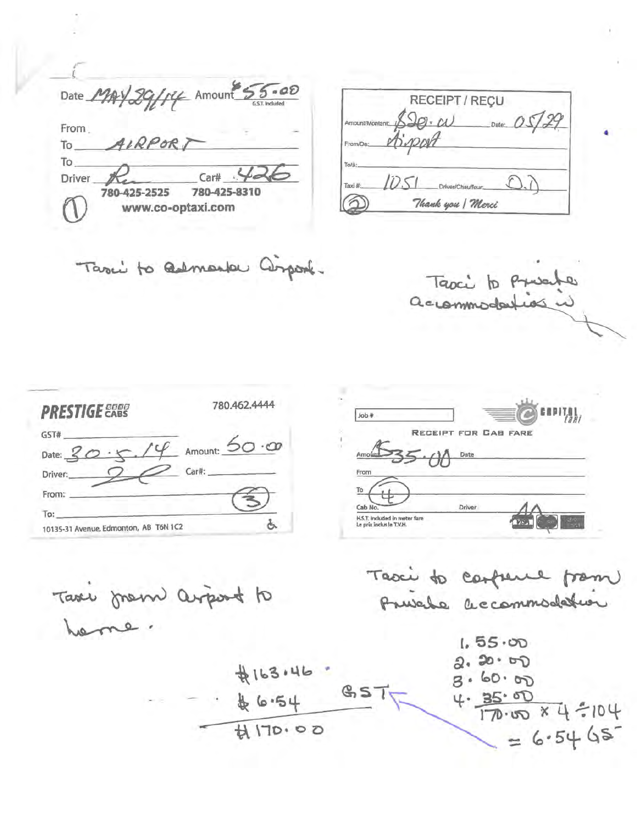Date MAY 29/14 Amount 55.00 From. AIRPOR To. To Car# **Driver** 780-425-2525 780-425-8310 www.co-optaxi.com

|                 | RECEIPT / RECU    |                |
|-----------------|-------------------|----------------|
| Amount/Montant: | $90 - \omega$     | Date: $0.5725$ |
| From/De:        | Sipport           |                |
| To/à:           |                   |                |
| Taxi #:         | Driver/Chauffeur: |                |
|                 | Thank you   Merci |                |

Taxi to admirator Composit.

Tapci to Presente accommodarias

| <b>PRESTIGE 2000</b>                  | 780.462.4444    |
|---------------------------------------|-----------------|
| GST#                                  |                 |
| Date: $20 \cdot 7$ .                  | Amount: 50 · 00 |
| Driver:                               | Car#:           |
| From:                                 |                 |
| To:                                   |                 |
| 10135-31 Avenue, Edmonton, AB T6N 1C2 |                 |

| <b>Job</b> # |                      |  |
|--------------|----------------------|--|
|              | RECEIPT FOR CAB FARE |  |
| Amount       | Date                 |  |
| From         |                      |  |
| To           |                      |  |
| Cab No.      | Driver               |  |

Taxe from arport to heme.

Taxi to carpene from Prusile accommodation

 $1.55.00$  $2.20.00$ \$163.46.  $3.60.00$  $GST$  $4.35.00$ <br> $4.35.00$ <br> $4.704$  $46.54$  $H$  $170.00$  $= 6.5465$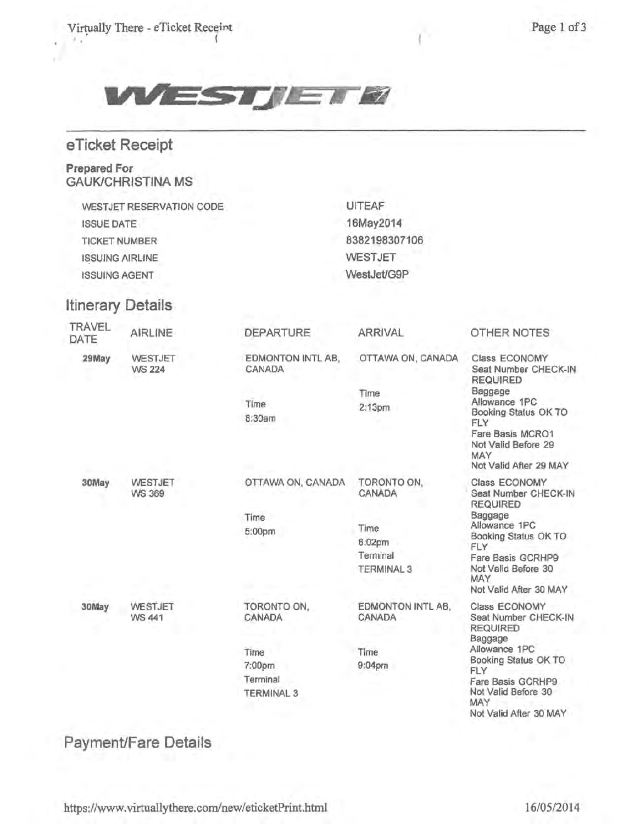Virtually There - eTicket Receint • !t • (



|  | eTicket Receipt |  |
|--|-----------------|--|
|  |                 |  |
|  |                 |  |

# Prepared For **GAUK/CHRISTINA MS**

WESTJET RESERVATION CODE ISSUE DATE TICKET NUMBER ISSUING AIRLINE ISSUING AGENT

# Itinerary Details

| TRAVEL<br>DATE | AIRLINE                         | <b>DEPARTURE</b>                                | <b>ARRIVAL</b>                                                           | OTHER NOTES                                                                                                                                                                                             |
|----------------|---------------------------------|-------------------------------------------------|--------------------------------------------------------------------------|---------------------------------------------------------------------------------------------------------------------------------------------------------------------------------------------------------|
| 29May          | <b>WESTJET</b><br><b>WS 224</b> | EDMONTON INTL AB,<br>CANADA                     | OTTAWA ON, CANADA                                                        | Class ECONOMY<br>Seat Number CHECK-IN<br><b>REQUIRED</b>                                                                                                                                                |
|                |                                 | Time<br>8:30am                                  | Time<br>2:13 <sub>pm</sub>                                               | Baggage<br>Allowance 1PC<br>Booking Status OK TO<br>FLY<br>Fare Basis MCRO1<br>Not Valid Before 29<br>MAY<br>Not Valid After 29 MAY                                                                     |
| 30May          | WESTJET<br><b>WS 369</b>        | OTTAWA ON, CANADA<br>Time<br>5:00pm             | TORONTO ON,<br>CANADA<br>Time<br>6:02pm<br>Terminal<br><b>TERMINAL 3</b> | Class ECONOMY<br>Seat Number CHECK-IN<br><b>REQUIRED</b><br>Baggage<br>Allowance 1PC<br>Booking Status OK TO<br><b>FLY</b><br>Fare Basis GCRHP9<br>Not Valld Before 30<br>MAY<br>Not Valid After 30 MAY |
| 30May          | WESTJET<br>WS 441               | TORONTO ON,<br><b>CANADA</b>                    | EDMONTON INTL AB.<br>CANADA                                              | Class ECONOMY<br>Seat Number CHECK-IN<br><b>REQUIRED</b><br>Baggage                                                                                                                                     |
|                |                                 | Time<br>7:00pm<br>Terminal<br><b>TERMINAL 3</b> | Time<br>$9:04$ pm                                                        | Allowance 1PC<br>Booking Status OK TO<br>FLY<br>Fare Basis GCRHP9<br>Not Valid Before 30<br>MAY<br>Not Valid After 30 MAY                                                                               |

UITEAF 16May2014 8382198307106

**WESTJET** WestJet/G9P

# Payment/Fare Details

https://www.virtuallythere.com/new/eticketPrint.html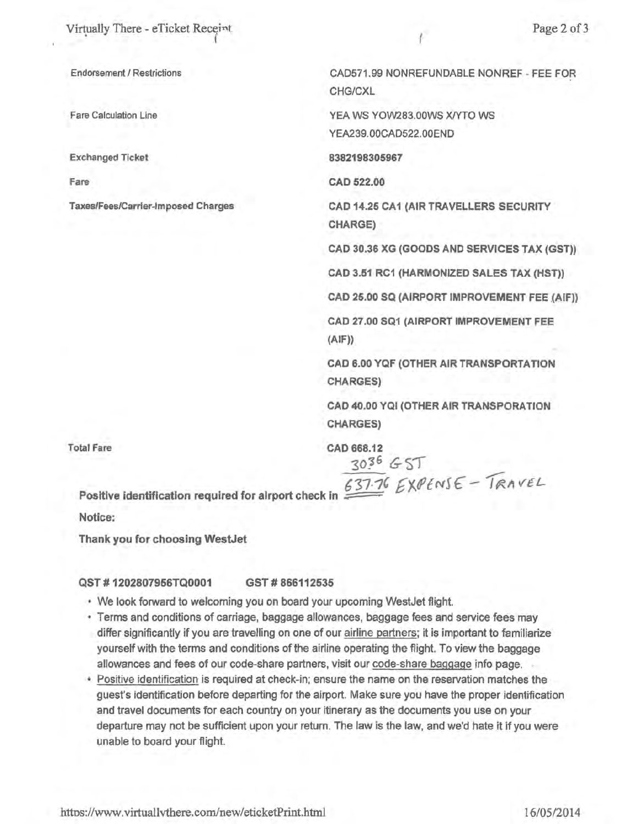Virtually There - eTicket Receint

Fare Calculation Line

Exchanged Ticket

Fare

Taxes/Fees/Carrier-Imposed Charges

CAD571.99 NONREFUNDABLE NONREF - FEE FOR CHG/CXL

YEA WS YOW283.00WS X/YTO WS YEA239.00CAD522.00END

8382198305967

CAD 522.00

CAD 14.25 CA1 (AIR TRAVELLERS SECURITY CHARGE)

CAD 30.36 XG (GOODS AND SERVICES TAX (GST))

CAD 3.51 RC1 (HARMONIZED SALES TAX (HST))

CAD 25.00 SQ (AIRPORT IMPROVEMENT FEE (AIF))

CAD 27.00 SQ1 (AIRPORT IMPROVEMENT FEE  $(AIF)$ 

CAD 6.00 YQF (OTHER AIR TRANSPORTATION CHARGES)

CAD 40.00 YQI (OTHER AIR TRANSPORA TION CHARGES)

Total Fare CAD 668.12

3036 G ST<br><u>637.7</u>6 EXPENSE - TRAVEL Positive identification required for alrport check in

Notice:

Thank you for choosing WestJet

#### QST # 1202807966TQ0001 GST # 866112535

- We look forward to welcoming you on board your upcoming WestJet flight.
- Terms and conditions of carriage, baggage allowances, baggage fees and service fees may differ significantly if you are travelling on one of our airline partners; it is important to familiarize yourself with the terms and conditions of the airline operating the flight. To view the baggage allowances and fees of our code-share partners, visit our code-share baggage info page.
- Positive identification is required at check-in; ensure the name on the reservation matches the guest's identification before departing for the airport. Make sure you have the proper identification and travel documents for each country on your itinerary as the documents you use on your departure may not be sufficient upon your return. The law is the law, and we'd hate it if you were unable to board your flight.

httos://www.virtuallvthere.com/new/eticketPrint.html 16/05/2014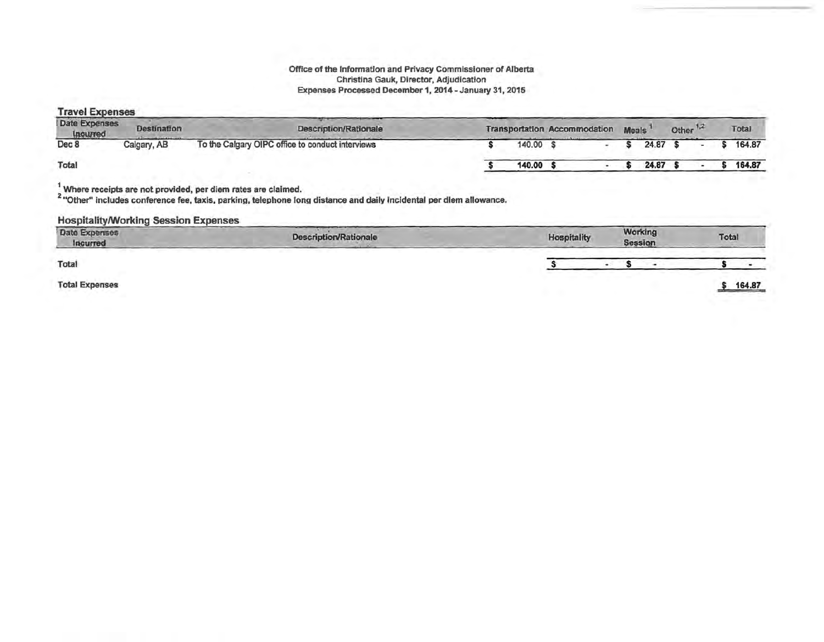#### Office of the Information and Privacy Commissioner of Alberta Christina Gauk, Director, Adjudication Expenses Processed December 1, 2014-January 31, 2015

| <b>Travel Expenses</b>    |                    |                                                  |                                     |  |  |              |                      |  |        |
|---------------------------|--------------------|--------------------------------------------------|-------------------------------------|--|--|--------------|----------------------|--|--------|
| Date Expenses<br>Incurred | <b>Destination</b> | <b>Description/Rationale</b>                     | <b>Transportation Accommodation</b> |  |  | <b>Meals</b> | Other <sup>1,2</sup> |  | Total  |
| Dec 8                     | Calgary, AB        | To the Calgary OIPC office to conduct interviews | 140.00                              |  |  | 24.87        |                      |  | 164.87 |
| Total                     |                    |                                                  | 140.00                              |  |  | 24.87        |                      |  | 164,87 |

 $\frac{1}{2}$  Where receipts are not provided, per diem rates are claimed.<br><sup>2</sup> "Other" includes conference fee, taxis, parking, telephone long distance and daily incidental per diem allowance.

## Hospitality/Working Session Expenses

| Date Expenses<br>Incurred | Description/Rationale | <b>Hospitality</b><br><b><i>Contract Contract Contract Contract Contract Contract Contract Contract Contract Contract Contract Contract Contract Contract Contract Contract Contract Contract Contract Contract Contract Contract Contract Contract Cont</i></b> | Working<br>Session | Total  |
|---------------------------|-----------------------|------------------------------------------------------------------------------------------------------------------------------------------------------------------------------------------------------------------------------------------------------------------|--------------------|--------|
| Total                     |                       |                                                                                                                                                                                                                                                                  |                    |        |
| <b>Total Expenses</b>     |                       |                                                                                                                                                                                                                                                                  |                    | 164.87 |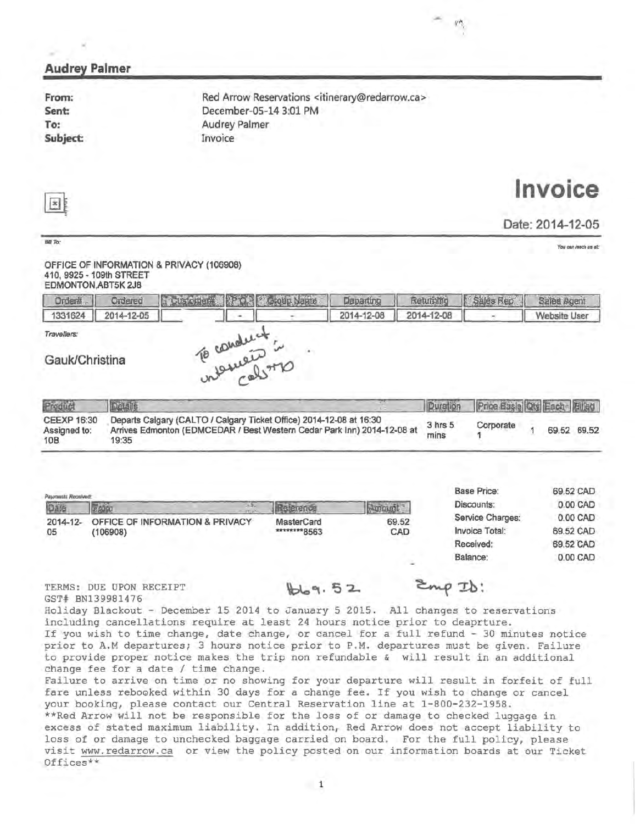| From:<br>Sent:<br>To:<br>Subject:                                                                       | Invoice  | Red Arrow Reservations <itinerary@redarrow.ca><br/>December-05-14 3:01 PM<br/><b>Audrey Palmer</b></itinerary@redarrow.ca>                     |            |                     |                                                             |                                                                         |
|---------------------------------------------------------------------------------------------------------|----------|------------------------------------------------------------------------------------------------------------------------------------------------|------------|---------------------|-------------------------------------------------------------|-------------------------------------------------------------------------|
| $\vert x \vert$                                                                                         |          |                                                                                                                                                |            |                     |                                                             | Invoice                                                                 |
|                                                                                                         |          |                                                                                                                                                |            |                     |                                                             | Date: 2014-12-05                                                        |
| Bill To:<br>OFFICE OF INFORMATION & PRIVACY (106908)<br>410, 9925 - 109th STREET<br>EDMONTON, ABT5K 2J8 |          |                                                                                                                                                |            |                     |                                                             | You can reach us at:                                                    |
| <b>Order#</b><br>Ordered                                                                                | Customer | <b>Stoup Name</b><br>隐                                                                                                                         | Departing  | Returbing           | Sales Rep                                                   | Sales Agent                                                             |
| 1331624<br>2014-12-05                                                                                   |          | To conduct:                                                                                                                                    | 2014-12-08 | 2014-12-08          |                                                             | <b>Website User</b>                                                     |
| Datails                                                                                                 |          |                                                                                                                                                |            | Duration            |                                                             |                                                                         |
| 19:35                                                                                                   |          | Departs Calgary (CALTO / Calgary Ticket Office) 2014-12-08 at 16:30<br>Arrives Edmonton (EDMCEDAR / Best Western Cedar Park Inn) 2014-12-08 at |            | $3$ hrs $5$<br>mins | Corporate<br>1                                              | Price Basia Qty Each Ellied<br>69.52 69.52<br>1                         |
| Product<br><b>CEEXP 16:30</b><br>Assigned to:<br>10B<br>Payments Received:                              |          |                                                                                                                                                |            |                     | <b>Base Price:</b><br>Discounts:                            |                                                                         |
| <b>E SUGU</b><br>Date<br>2014-12- OFFICE OF INFORMATION & PRIVACY<br>(106908)<br>05                     |          | Reterence<br>MasterCard<br>********8563                                                                                                        | $A$ mount  | 69.52<br>CAD        | Service Charges:<br>Invoice Total:<br>Received:<br>Balance: | 69.52 CAD<br>0.00 CAD<br>0.00 CAD<br>69.52 CAD<br>69.52 CAD<br>0.00 CAD |
| TERMS: DUE UPON RECEIPT<br>GST# BN139981476                                                             |          | bb9.52<br>Holiday Blackout - December 15 2014 to January 5 2015. All changes to reservations                                                   |            | $E_{mp}$ ID:        |                                                             |                                                                         |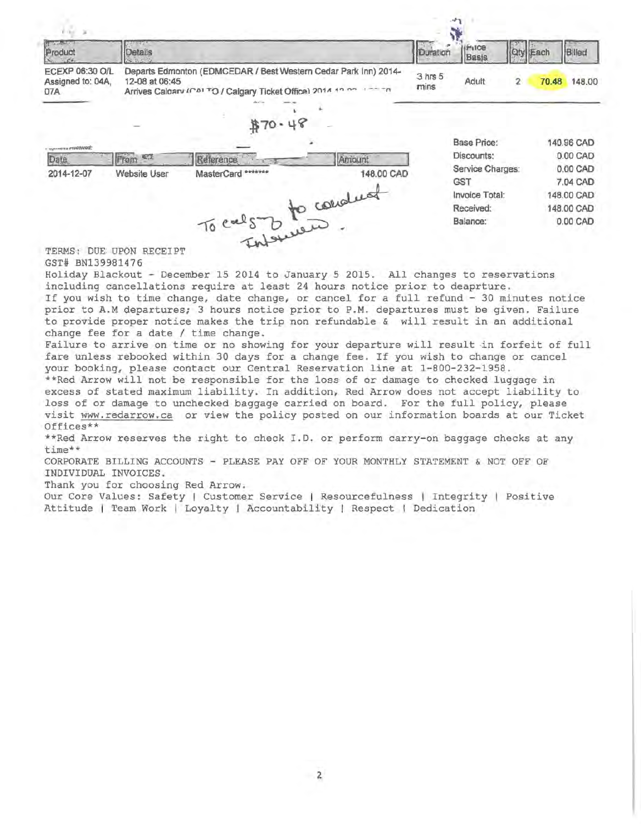| $-21$                                              |                     |                    |                                                                                                                                       |                 |                    |                 |       |            |
|----------------------------------------------------|---------------------|--------------------|---------------------------------------------------------------------------------------------------------------------------------------|-----------------|--------------------|-----------------|-------|------------|
| <b>PETTA LIVERATION</b><br>Product                 | Details             |                    |                                                                                                                                       | Duration        | 17108<br>Basis     | <b>Qty</b> Each |       | Billed     |
| <b>ECEXP 06:30 O/L</b><br>Assigned to: 04A,<br>07A | 12-08 at 06:45      |                    | Departs Edmonton (EDMCEDAR / Best Western Cedar Park Inn) 2014-<br>Arrives Caldary (CALTO / Calgary Ticket Office) 2014 10:00 1000100 | 3 hrs 5<br>mins | Adult              | $\mathbf{2}$    | 70.48 | 148,00     |
|                                                    |                     |                    |                                                                                                                                       |                 |                    |                 |       |            |
|                                                    |                     |                    | \$70.48                                                                                                                               |                 |                    |                 |       |            |
| - путника <i>косомед</i> :                         |                     |                    |                                                                                                                                       |                 | <b>Base Price:</b> |                 |       | 140.96 CAD |
| Date                                               | From CT             | Reference          | Amount                                                                                                                                |                 | Discounts:         |                 |       | 0.00 CAD   |
| 2014-12-07                                         | <b>Website User</b> | MasterCard ******* | 148.00 CAD                                                                                                                            |                 | Service Charges:   |                 |       | 0.00 CAD   |
|                                                    |                     |                    |                                                                                                                                       |                 | <b>GST</b>         |                 |       | 7.04 CAD   |
|                                                    |                     |                    |                                                                                                                                       |                 | Invoice Total:     |                 |       | 148,00 CAD |
|                                                    |                     |                    |                                                                                                                                       |                 | Received:          |                 |       | 148.00 CAD |
|                                                    |                     |                    | To cals to conduct                                                                                                                    |                 | Balance:           |                 |       | 0.00 CAD   |

TERMS: DUE UPON RECEIPT GST# BN139981476

Holiday Blackout - December 15 2014 to January 5 2015. All changes to reservations including cancellations require at least 24 hours notice prior to deaprture. If you wish to time change, date change, or cancel for a full refund - 30 minutes notice prior to A.M departures; 3 hours notice prior to P.M. departures must be given. Failure to provide proper notice makes the trip non refundable & will result in an additional change fee for a date / time change.

Failure to arrive on time or no showing for your departure will result in forfeit of full fare unless rebooked within 30 days for a change fee. If you wish to change or cancel your booking, please contact our Central Reservation line at 1-800-232-1958.

\*\*Red Arrow will not be responsible for the loss of or damage to checked luggage in excess of stated maximum liability. In addition, Red Arrow does not accept liability to loss of or damage to unchecked baggage carried on board. For the full policy, please visit www.redarrow.ca or view the policy posted on our information boards at our Ticket Offices\*\*

\*\*Red Arrow reserves the right to check I.D. or perform carry-on baggage checks at any time\*\*

CORPORATE BILLING ACCOUNTS - PLEASE PAY OFF OF YOUR MONTHLY STATEMENT & NOT OFF OF INDIVIDUAL INVOICES.

Thank you for choosing Red Arrow.

Our Core Values: Safety | Customer Service | Resourcefulness | Integrity | Positive Attitude | Team Work | Loyalty | Accountability | Respect | Dedication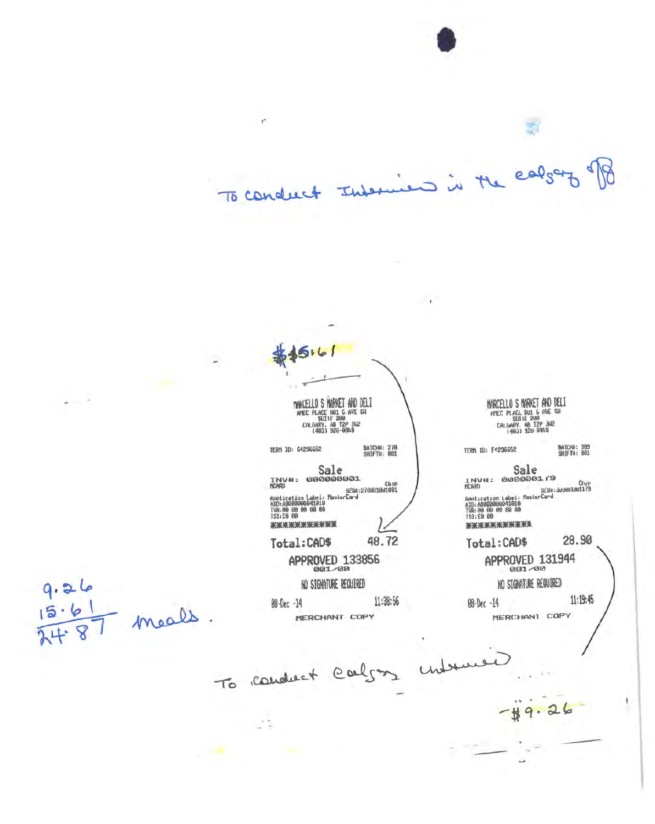J is the early To conduct Informer

 $\overline{\phantom{a}}$ 

۳

 $5.61$ **DRKUELLO S MARKET AND DELT AMEC PLACE 881 6 AVE SH**<br>**AMEC PLACE 881 6 AVE SH**<br>CALGARY, AB T2P 342<br>(4083) 928-0959 **BATCHM: 278**<br>SHIFTU: 001 TERM 10: E4296652 TERM ID: 64296652 Sale<br>Invu: 000000001 Sale Chip<br>Application Label: MasterCard<br>AID:A00000000041010<br>IVR:00 00 00 00<br>SMESHING SEQu:<br>AID:AB0000606041010<br>TVR:00 00 00 00 00<br>TSI:E0 00<br>TSI:E0 00 \*\*\*\*\*\*\*\*\*\*\* \*\*\*\*\*\*\*\*\*\*\* 48.72 Total:CAD\$ Total:CAD\$ APPROVED 131944 APPROVED 133856 001-00 NO SIGNATURE REQUIRED 11:38:56 08-Dec -14 08-Dec -14 MERCHANT COPY

 $9.26$ - meals g

To conduct calgon

MARCELLO S MARKET AND DELI AMEC PLACE 801 6 AVE SH<br>SUITE 200<br>CALGARY, AB T2P 342<br>(403) 928-0959

BATCHA: 309<br>SHIFTI: 801

INVII: 8888881.79 Chup<br>SEOU: 309001001179

28.90

NO STONATURE REQUIRED

11:19:45

MERCHANI COPY

 $49.$ 

 $26$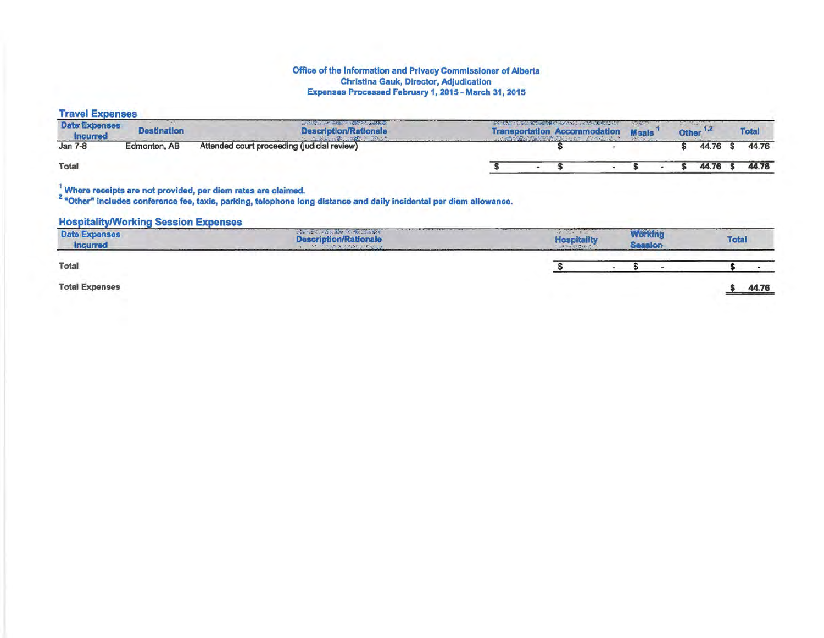#### Office of the Information and Privacy Commissioner of Alberta Christina Gauk, Director, Adjudication Expenses Processed February 1, 2015- March 31, 2015

# Travel Expenses

| <b>Date Expenses</b><br><b>Incurred</b> | <b>Destination</b> | with the first time of the control of the control of the control of the control of the control of the control of<br><b>Description/Rationale</b> | <b>AND CARDS AND ARRANGEMENT AND ARRANGEMENT</b> | THE REPORT OF THE REPORT OF THE REPORT OF<br><b>Transportation Accommodation</b> | <b>Maals</b> | <b>Other</b> |          | <b>Total</b> |       |
|-----------------------------------------|--------------------|--------------------------------------------------------------------------------------------------------------------------------------------------|--------------------------------------------------|----------------------------------------------------------------------------------|--------------|--------------|----------|--------------|-------|
| Jan 7-8                                 | Edmonton, AB       | Attended court proceeding (judicial review)                                                                                                      |                                                  |                                                                                  |              |              | 44.76 \$ |              | 44.76 |
| Total                                   |                    |                                                                                                                                                  |                                                  |                                                                                  |              |              | 44.76    |              | 44.76 |

### $\frac{1}{2}$  Where receipts are not provided, per diem rates are claimed.

<sup>2</sup> "Other" includes conference fee, taxis, parking, telephone long distance and daily incidental per diem allowance.

## **Hospitality/Working Session Expenses**

| <b>Date Expenses</b><br>Incurred | CONTINUES AND STATES OF STATES OF<br><b>Description/Rationale</b><br>RE IN START STORES FOR LA |  |  |  | <b>Total</b> |       |
|----------------------------------|------------------------------------------------------------------------------------------------|--|--|--|--------------|-------|
| Total                            |                                                                                                |  |  |  |              |       |
| <b>Total Expenses</b>            |                                                                                                |  |  |  |              | 44.76 |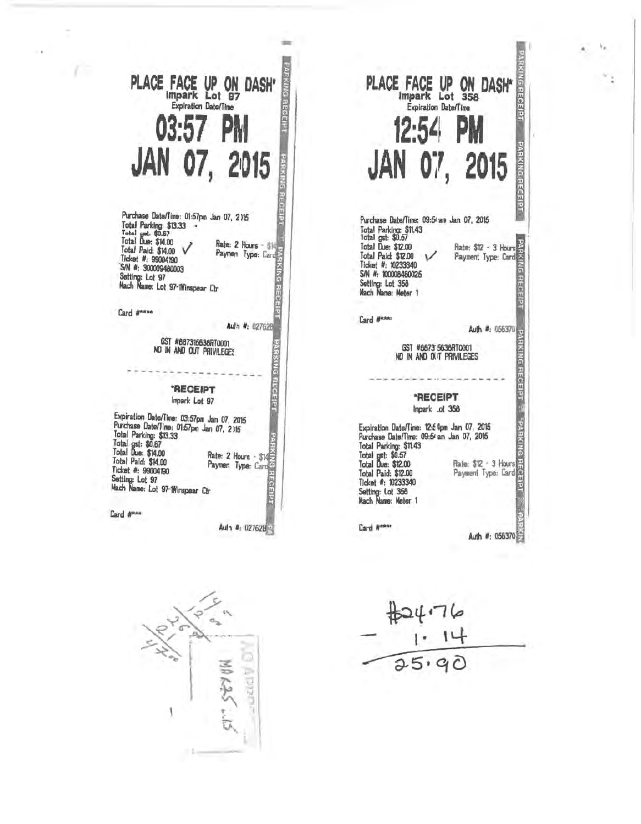# PLACE FACE UP ON DASH' **RING RECEIPT Expiration Date/Time** PM 03:57 JAN 07, 2015 **PARKING REGEIP**

Purchase Date/Time: 01:57pm Jan 07, 2115 Total Parking: \$13.33 Total unt. \$0.67<br>Total Due: \$14.00 Rate: 2 Hours - \$15<br>Paymen Type: Card Total Paid: \$14.00 V Ticket #: 99004190 S/N #: 300009480003 Setting: Lot 97<br>Mach Name: Lot 97-1Winspear Ctr

Card #\*\*\*\*

Aulh #: 027628

**RECEIP1** 

**PARKING RECEIPT** 

#### GST #887315638RT0001 NO IN AND OUT PRIVILEGES

# **RECEIPT** Impark Lot 97

Expiration Date/Time: 03:57pm Jan 07, 2015 Purchase Date/Time: 01:57pm Jan 07, 2115 Total Parking: \$13.33 Total gst: \$0,67<br>Total Due: \$14.00 Rate: 2 Hours - \$14 Total Paid: \$14.00 Ticket #: 99004190 Setting: Lot 97<br>Mach Name: Lot 97-1Winspear Ctr EGEIPI

Card #RAA

Aula #: 027628

PARKING RECEIPT PLACE FACE UP ON DASH\* **Expiration Date/Time**  $12:54$ p PARKING RECEIPT JAN 07, 2015 Purchase Date/Time: 09:5<sup>2</sup> am Jan 07, 2015 Total Parking: \$11.43<br>Total gst: \$0.57<br>Total Due: \$12.00 Rate: \$12 - 3 Hours<br>Payment Type: Card Total Paid: \$12.00 Ticket #: 10233340 **G PECEIPT** S/N #: 100008460025 Setting: Lot 358<br>Nach Name: Meter 1 Card #\*\*\*\* Auth #: 056370 **HKING REGEIPT 3** GST #8873'5638RT0001<br>NO IN AND OUT PRIVILEGES **"RECEIPT** Impark .ot 358 эміжнуа-Expiration Date/Time: 12:54pm Jan 07, 2015 Purchase Date/Time: 09:54 am Jan 07, 2015 Total Parking: \$11.43 Total gst: \$0.57<br>Total Due: \$12.00 Rate: \$12 - 3 Hours<br>Payment Type: Card Total Paid: \$12.00 Ticket #: 10233340 Setting: Lot 358<br>Mach Name: Meter 1 Card Western Auth #: 056370

 $\frac{424.76}{25.90}$